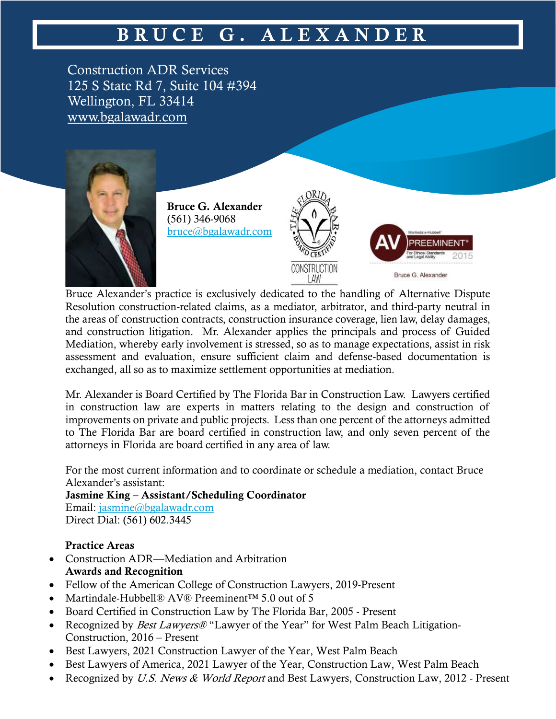## **B R U C E G . A L E X A N D E R**

Construction ADR Services 125 S State Rd 7, Suite 104 #394 Wellington, FL 33414 [www.bgalawadr.com](http://www.bgalawadr.com/)



**Bruce G. Alexander** (561) 346-9068 [bruce@bgalawadr.com](mailto:bruce@bgalawadr.com)





Bruce Alexander's practice is exclusively dedicated to the handling of Alternative Dispute Resolution construction-related claims, as a mediator, arbitrator, and third-party neutral in the areas of construction contracts, construction insurance coverage, lien law, delay damages, and construction litigation. Mr. Alexander applies the principals and process of Guided Mediation, whereby early involvement is stressed, so as to manage expectations, assist in risk assessment and evaluation, ensure sufficient claim and defense-based documentation is exchanged, all so as to maximize settlement opportunities at mediation.

Mr. Alexander is Board Certified by The Florida Bar in Construction Law. Lawyers certified in construction law are experts in matters relating to the design and construction of improvements on private and public projects. Less than one percent of the attorneys admitted to The Florida Bar are board certified in construction law, and only seven percent of the attorneys in Florida are board certified in any area of law.

For the most current information and to coordinate or schedule a mediation, contact Bruce Alexander's assistant:

**Jasmine King – Assistant/Scheduling Coordinator**

Email: [jasmine@bgalawadr.com](mailto:jasmine@bgalawadr.com) Direct Dial: (561) 602.3445

## **Practice Areas**

- Construction ADR—Mediation and Arbitration **Awards and Recognition**
- Fellow of the American College of Construction Lawyers, 2019-Present
- Martindale-Hubbell® AV® Preeminent™ 5.0 out of 5
- Board Certified in Construction Law by The Florida Bar, 2005 Present
- Recognized by *Best Lawyers®* "Lawyer of the Year" for West Palm Beach Litigation-Construction, 2016 – Present
- Best Lawyers, 2021 Construction Lawyer of the Year, West Palm Beach
- Best Lawyers of America, 2021 Lawyer of the Year, Construction Law, West Palm Beach
- Recognized by U.S. News & World Report and Best Lawyers, Construction Law, 2012 Present